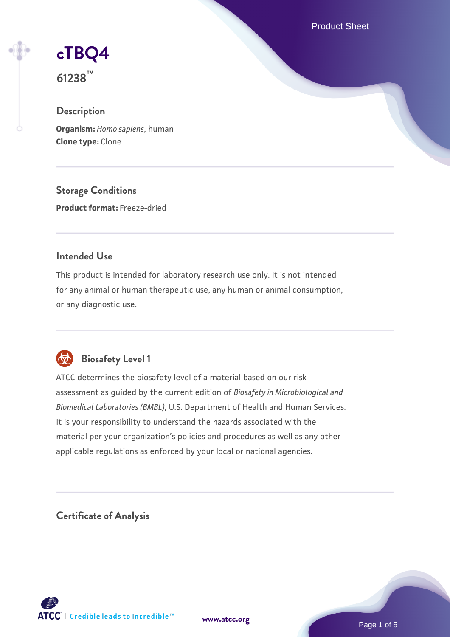Product Sheet

# **[cTBQ4](https://www.atcc.org/products/61238)**

**61238™**

# **Description**

**Organism:** *Homo sapiens*, human **Clone type:** Clone

**Storage Conditions Product format:** Freeze-dried

# **Intended Use**

This product is intended for laboratory research use only. It is not intended for any animal or human therapeutic use, any human or animal consumption, or any diagnostic use.



# **Biosafety Level 1**

ATCC determines the biosafety level of a material based on our risk assessment as guided by the current edition of *Biosafety in Microbiological and Biomedical Laboratories (BMBL)*, U.S. Department of Health and Human Services. It is your responsibility to understand the hazards associated with the material per your organization's policies and procedures as well as any other applicable regulations as enforced by your local or national agencies.

**Certificate of Analysis**

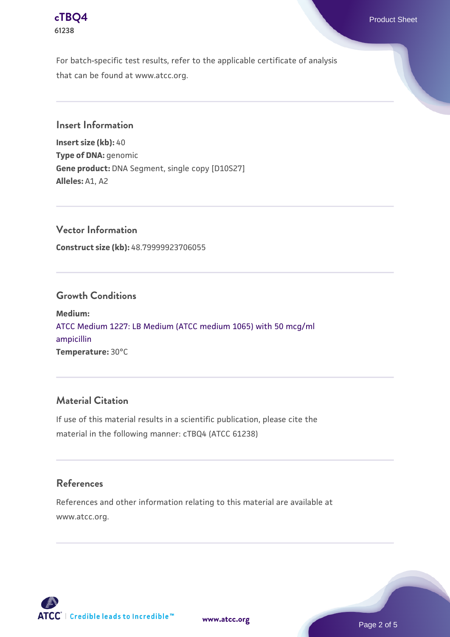

For batch-specific test results, refer to the applicable certificate of analysis that can be found at www.atcc.org.

**Insert Information**

**Insert size (kb):** 40 **Type of DNA:** genomic **Gene product:** DNA Segment, single copy [D10S27] **Alleles:** A1, A2

**Vector Information Construct size (kb):** 48.79999923706055

#### **Growth Conditions**

**Medium:**  [ATCC Medium 1227: LB Medium \(ATCC medium 1065\) with 50 mcg/ml](https://www.atcc.org/-/media/product-assets/documents/microbial-media-formulations/1/2/2/7/atcc-medium-1227.pdf?rev=581c98603b3e4b29a6d62ee0ba9ca578) [ampicillin](https://www.atcc.org/-/media/product-assets/documents/microbial-media-formulations/1/2/2/7/atcc-medium-1227.pdf?rev=581c98603b3e4b29a6d62ee0ba9ca578) **Temperature:** 30°C

# **Material Citation**

If use of this material results in a scientific publication, please cite the material in the following manner: cTBQ4 (ATCC 61238)

#### **References**

References and other information relating to this material are available at www.atcc.org.



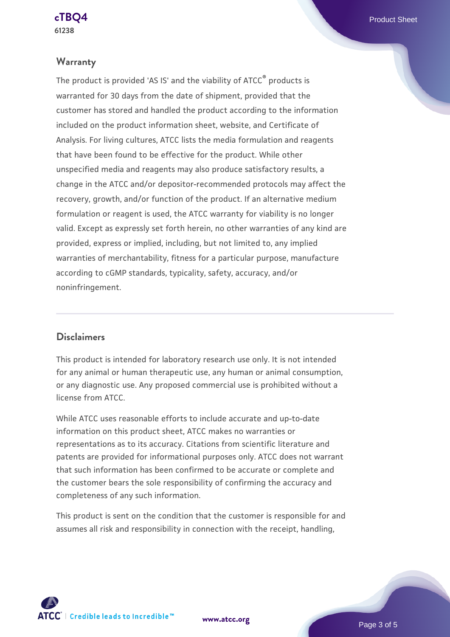### **Warranty**

The product is provided 'AS IS' and the viability of ATCC® products is warranted for 30 days from the date of shipment, provided that the customer has stored and handled the product according to the information included on the product information sheet, website, and Certificate of Analysis. For living cultures, ATCC lists the media formulation and reagents that have been found to be effective for the product. While other unspecified media and reagents may also produce satisfactory results, a change in the ATCC and/or depositor-recommended protocols may affect the recovery, growth, and/or function of the product. If an alternative medium formulation or reagent is used, the ATCC warranty for viability is no longer valid. Except as expressly set forth herein, no other warranties of any kind are provided, express or implied, including, but not limited to, any implied warranties of merchantability, fitness for a particular purpose, manufacture according to cGMP standards, typicality, safety, accuracy, and/or noninfringement.

# **Disclaimers**

This product is intended for laboratory research use only. It is not intended for any animal or human therapeutic use, any human or animal consumption, or any diagnostic use. Any proposed commercial use is prohibited without a license from ATCC.

While ATCC uses reasonable efforts to include accurate and up-to-date information on this product sheet, ATCC makes no warranties or representations as to its accuracy. Citations from scientific literature and patents are provided for informational purposes only. ATCC does not warrant that such information has been confirmed to be accurate or complete and the customer bears the sole responsibility of confirming the accuracy and completeness of any such information.

This product is sent on the condition that the customer is responsible for and assumes all risk and responsibility in connection with the receipt, handling,

**[www.atcc.org](http://www.atcc.org)**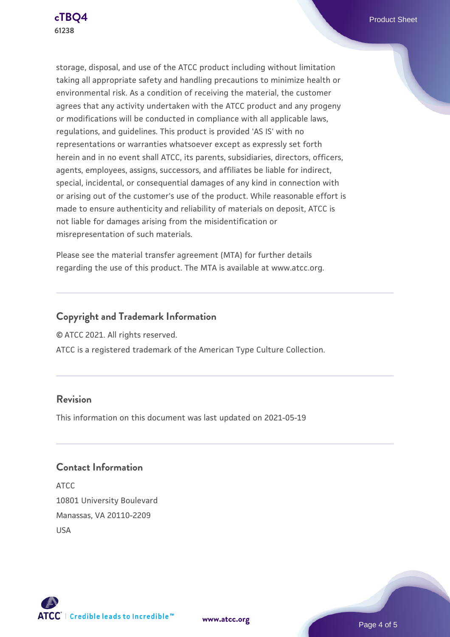

storage, disposal, and use of the ATCC product including without limitation taking all appropriate safety and handling precautions to minimize health or environmental risk. As a condition of receiving the material, the customer agrees that any activity undertaken with the ATCC product and any progeny or modifications will be conducted in compliance with all applicable laws, regulations, and guidelines. This product is provided 'AS IS' with no representations or warranties whatsoever except as expressly set forth herein and in no event shall ATCC, its parents, subsidiaries, directors, officers, agents, employees, assigns, successors, and affiliates be liable for indirect, special, incidental, or consequential damages of any kind in connection with or arising out of the customer's use of the product. While reasonable effort is made to ensure authenticity and reliability of materials on deposit, ATCC is not liable for damages arising from the misidentification or misrepresentation of such materials.

Please see the material transfer agreement (MTA) for further details regarding the use of this product. The MTA is available at www.atcc.org.

# **Copyright and Trademark Information**

© ATCC 2021. All rights reserved.

ATCC is a registered trademark of the American Type Culture Collection.

# **Revision**

This information on this document was last updated on 2021-05-19

# **Contact Information**

ATCC 10801 University Boulevard Manassas, VA 20110-2209 USA





**[www.atcc.org](http://www.atcc.org)**